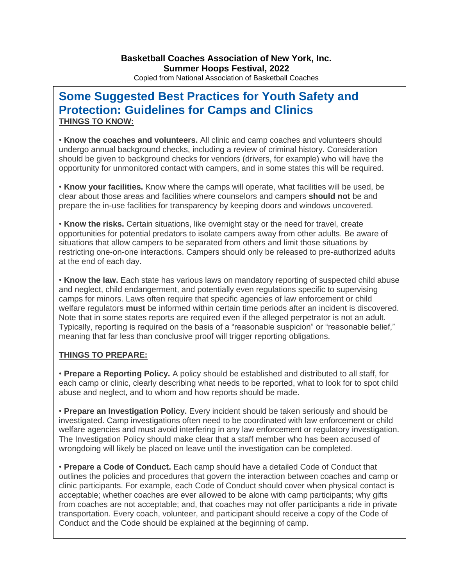Copied from National Association of Basketball Coaches

## **Some Suggested Best Practices for Youth Safety and Protection: Guidelines for Camps and Clinics THINGS TO KNOW:**

• **Know the coaches and volunteers.** All clinic and camp coaches and volunteers should undergo annual background checks, including a review of criminal history. Consideration should be given to background checks for vendors (drivers, for example) who will have the opportunity for unmonitored contact with campers, and in some states this will be required.

• **Know your facilities.** Know where the camps will operate, what facilities will be used, be clear about those areas and facilities where counselors and campers **should not** be and prepare the in-use facilities for transparency by keeping doors and windows uncovered.

• **Know the risks.** Certain situations, like overnight stay or the need for travel, create opportunities for potential predators to isolate campers away from other adults. Be aware of situations that allow campers to be separated from others and limit those situations by restricting one-on-one interactions. Campers should only be released to pre-authorized adults at the end of each day.

• **Know the law.** Each state has various laws on mandatory reporting of suspected child abuse and neglect, child endangerment, and potentially even regulations specific to supervising camps for minors. Laws often require that specific agencies of law enforcement or child welfare regulators **must** be informed within certain time periods after an incident is discovered. Note that in some states reports are required even if the alleged perpetrator is not an adult. Typically, reporting is required on the basis of a "reasonable suspicion" or "reasonable belief," meaning that far less than conclusive proof will trigger reporting obligations.

## **THINGS TO PREPARE:**

• **Prepare a Reporting Policy.** A policy should be established and distributed to all staff, for each camp or clinic, clearly describing what needs to be reported, what to look for to spot child abuse and neglect, and to whom and how reports should be made.

• **Prepare an Investigation Policy.** Every incident should be taken seriously and should be investigated. Camp investigations often need to be coordinated with law enforcement or child welfare agencies and must avoid interfering in any law enforcement or regulatory investigation. The Investigation Policy should make clear that a staff member who has been accused of wrongdoing will likely be placed on leave until the investigation can be completed.

• **Prepare a Code of Conduct.** Each camp should have a detailed Code of Conduct that outlines the policies and procedures that govern the interaction between coaches and camp or clinic participants. For example, each Code of Conduct should cover when physical contact is acceptable; whether coaches are ever allowed to be alone with camp participants; why gifts from coaches are not acceptable; and, that coaches may not offer participants a ride in private transportation. Every coach, volunteer, and participant should receive a copy of the Code of Conduct and the Code should be explained at the beginning of camp.